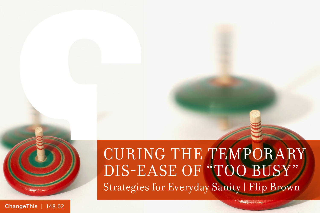

[ChangeThis](http://changethis.com) | 148.02

## CURING THE TEMPORARY DIS-EASE OF "TOO BUSY" Strategies for Everyday Sanity | Flip Brown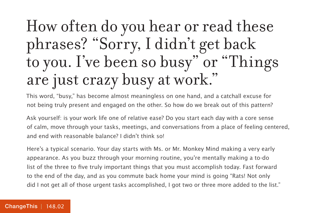## How often do you hear or read these phrases? "Sorry, I didn't get back to you. I've been so busy" or "Things are just crazy busy at work."

This word, "busy," has become almost meaningless on one hand, and a catchall excuse for not being truly present and engaged on the other. So how do we break out of this pattern?

Ask yourself: is your work life one of relative ease? Do you start each day with a core sense of calm, move through your tasks, meetings, and conversations from a place of feeling centered, and end with reasonable balance? I didn't think so!

Here's a typical scenario. Your day starts with Ms. or Mr. Monkey Mind making a very early appearance. As you buzz through your morning routine, you're mentally making a to-do list of the three to five truly important things that you must accomplish today. Fast forward to the end of the day, and as you commute back home your mind is going "Rats! Not only did I not get all of those urgent tasks accomplished, I got two or three more added to the list."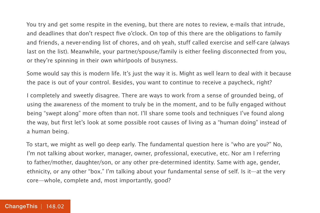You try and get some respite in the evening, but there are notes to review, e-mails that intrude, and deadlines that don't respect five o'clock. On top of this there are the obligations to family and friends, a never-ending list of chores, and oh yeah, stuff called exercise and self-care (always last on the list). Meanwhile, your partner/spouse/family is either feeling disconnected from you, or they're spinning in their own whirlpools of busyness.

Some would say this is modern life. It's just the way it is. Might as well learn to deal with it because the pace is out of your control. Besides, you want to continue to receive a paycheck, right?

I completely and sweetly disagree. There are ways to work from a sense of grounded being, of using the awareness of the moment to truly be in the moment, and to be fully engaged without being "swept along" more often than not. I'll share some tools and techniques I've found along the way, but first let's look at some possible root causes of living as a "human doing" instead of a human being.

To start, we might as well go deep early. The fundamental question here is "who are you?" No, I'm not talking about worker, manager, owner, professional, executive, etc. Nor am I referring to father/mother, daughter/son, or any other pre-determined identity. Same with age, gender, ethnicity, or any other "box." I'm talking about your fundamental sense of self. Is it—at the very core—whole, complete and, most importantly, good?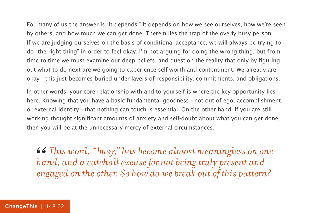For many of us the answer is "it depends." It depends on how we see ourselves, how we're seen by others, and how much we can get done. Therein lies the trap of the overly busy person. If we are judging ourselves on the basis of conditional acceptance, we will always be trying to do "the right thing" in order to feel okay. I'm not arguing for doing the wrong thing, but from time to time we must examine our deep beliefs, and question the reality that only by figuring out what to do next are we going to experience self-worth and contentment. We already are okay—this just becomes buried under layers of responsibility, commitments, and obligations.

In other words, your core relationship with and to yourself is where the key opportunity lies here. Knowing that you have a basic fundamental goodness—not out of ego, accomplishment, or external identity—that nothing can touch is essential. On the other hand, if you are still working thought significant amounts of anxiety and self-doubt about what you can get done, then you will be at the unnecessary mercy of external circumstances.

**46** This word, "busy," has become almost meaningless on one hand, and a catchall excuse for not being truly present and engaged on the other. So how do we break out of this pattern? *hand, and a catchall excuse for not being truly present and engaged on the other. So how do we break out of this pattern?*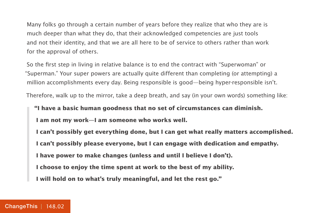Many folks go through a certain number of years before they realize that who they are is much deeper than what they do, that their acknowledged competencies are just tools and not their identity, and that we are all here to be of service to others rather than work for the approval of others.

So the first step in living in relative balance is to end the contract with "Superwoman" or "Superman." Your super powers are actually quite different than completing (or attempting) a million accomplishments every day. Being responsible is good—being hyper-responsible isn't.

Therefore, walk up to the mirror, take a deep breath, and say (in your own words) something like:

**"I have a basic human goodness that no set of circumstances can diminish. I am not my work—I am someone who works well.**

 **I can't possibly get everything done, but I can get what really matters accomplished. I can't possibly please everyone, but I can engage with dedication and empathy.**

 **I have power to make changes (unless and until I believe I don't).**

 **I choose to enjoy the time spent at work to the best of my ability.**

 **I will hold on to what's truly meaningful, and let the rest go."**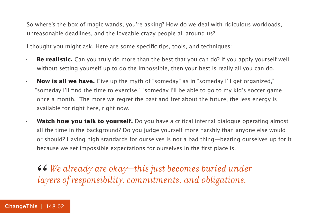So where's the box of magic wands, you're asking? How do we deal with ridiculous workloads, unreasonable deadlines, and the loveable crazy people all around us?

I thought you might ask. Here are some specific tips, tools, and techniques:

- **· Be realistic.** Can you truly do more than the best that you can do? If you apply yourself well without setting yourself up to do the impossible, then your best is really all you can do.
- **· Now is all we have.** Give up the myth of "someday" as in "someday I'll get organized," "someday I'll find the time to exercise," "someday I'll be able to go to my kid's soccer game once a month." The more we regret the past and fret about the future, the less energy is available for right here, right now.
- **· Watch how you talk to yourself.** Do you have a critical internal dialogue operating almost all the time in the background? Do you judge yourself more harshly than anyone else would or should? Having high standards for ourselves is not a bad thing—beating ourselves up for it because we set impossible expectations for ourselves in the first place is.

*We already are okay—this just becomes buried under*  66<br>*lay layers of responsibility, commitments, and obligations.*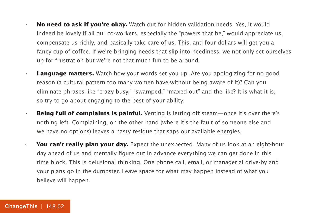- **· No need to ask if you're okay.** Watch out for hidden validation needs. Yes, it would indeed be lovely if all our co-workers, especially the "powers that be," would appreciate us, compensate us richly, and basically take care of us. This, and four dollars will get you a fancy cup of coffee. If we're bringing needs that slip into neediness, we not only set ourselves up for frustration but we're not that much fun to be around.
- **· Language matters.** Watch how your words set you up. Are you apologizing for no good reason (a cultural pattern too many women have without being aware of it)? Can you eliminate phrases like "crazy busy," "swamped," "maxed out" and the like? It is what it is, so try to go about engaging to the best of your ability.
- **· Being full of complaints is painful.** Venting is letting off steam—once it's over there's nothing left. Complaining, on the other hand (where it's the fault of someone else and we have no options) leaves a nasty residue that saps our available energies.
- **· You can't really plan your day.** Expect the unexpected. Many of us look at an eight-hour day ahead of us and mentally figure out in advance everything we can get done in this time block. This is delusional thinking. One phone call, email, or managerial drive-by and your plans go in the dumpster. Leave space for what may happen instead of what you believe will happen.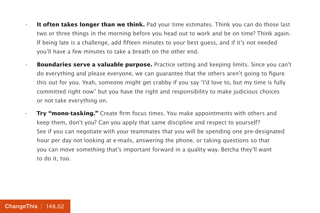- **· It often takes longer than we think.** Pad your time estimates. Think you can do those last two or three things in the morning before you head out to work and be on time? Think again. If being late is a challenge, add fifteen minutes to your best guess, and if it's not needed you'll have a few minutes to take a breath on the other end.
- **· Boundaries serve a valuable purpose.** Practice setting and keeping limits. Since you can't do everything and please everyone, we can guarantee that the others aren't going to figure this out for you. Yeah, someone might get crabby if you say "I'd love to, but my time is fully committed right now" but you have the right and responsibility to make judicious choices or not take everything on.
	- **· Try "mono-tasking."** Create firm focus times. You make appointments with others and keep them, don't you? Can you apply that same discipline and respect to yourself? See if you can negotiate with your teammates that you will be spending one pre-designated hour per day not looking at e-mails, answering the phone, or taking questions so that you can move something that's important forward in a quality way. Betcha they'll want to do it, too.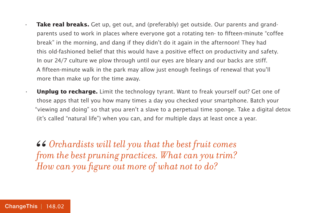- **Take real breaks.** Get up, get out, and (preferably) get outside. Our parents and grandparents used to work in places where everyone got a rotating ten- to fifteen-minute "coffee break" in the morning, and dang if they didn't do it again in the afternoon! They had this old-fashioned belief that this would have a positive effect on productivity and safety. In our 24/7 culture we plow through until our eyes are bleary and our backs are stiff. A fifteen-minute walk in the park may allow just enough feelings of renewal that you'll more than make up for the time away.
- **Unplug to recharge.** Limit the technology tyrant. Want to freak yourself out? Get one of those apps that tell you how many times a day you checked your smartphone. Batch your "viewing and doing" so that you aren't a slave to a perpetual time sponge. Take a digital detox (it's called "natural life") when you can, and for multiple days at least once a year.

*Orchardists will tell you that the best fruit comes from the best pruning practices. What can you trim? How can you figure out more of what not to do?* 66<br>*fro*<br>Ho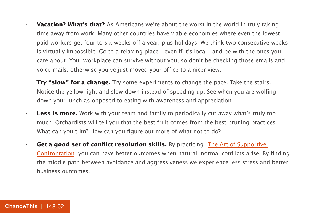**Vacation? What's that?** As Americans we're about the worst in the world in truly taking time away from work. Many other countries have viable economies where even the lowest paid workers get four to six weeks off a year, plus holidays. We think two consecutive weeks is virtually impossible. Go to a relaxing place—even if it's local—and be with the ones you care about. Your workplace can survive without you, so don't be checking those emails and voice mails, otherwise you've just moved your office to a nicer view.

- **· Try "slow" for a change.** Try some experiments to change the pace. Take the stairs. Notice the yellow light and slow down instead of speeding up. See when you are wolfing down your lunch as opposed to eating with awareness and appreciation.
- **· Less is more.** Work with your team and family to periodically cut away what's truly too much. Orchardists will tell you that the best fruit comes from the best pruning practices. What can you trim? How can you figure out more of what not to do?
- **· Get a good set of conflict resolution skills.** By practicing ["The Art of Supportive](http://changethis.com/manifesto/show/137.04.SupportiveConfrontation)  [Confrontation"](http://changethis.com/manifesto/show/137.04.SupportiveConfrontation) you can have better outcomes when natural, normal conflicts arise. By finding the middle path between avoidance and aggressiveness we experience less stress and better business outcomes.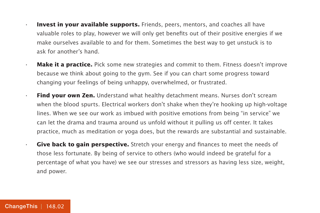- **· Invest in your available supports.** Friends, peers, mentors, and coaches all have valuable roles to play, however we will only get benefits out of their positive energies if we make ourselves available to and for them. Sometimes the best way to get unstuck is to ask for another's hand.
- **· Make it a practice.** Pick some new strategies and commit to them. Fitness doesn't improve because we think about going to the gym. See if you can chart some progress toward changing your feelings of being unhappy, overwhelmed, or frustrated.
- **· Find your own Zen.** Understand what healthy detachment means. Nurses don't scream when the blood spurts. Electrical workers don't shake when they're hooking up high-voltage lines. When we see our work as imbued with positive emotions from being "in service" we can let the drama and trauma around us unfold without it pulling us off center. It takes practice, much as meditation or yoga does, but the rewards are substantial and sustainable.
- **· Give back to gain perspective.** Stretch your energy and finances to meet the needs of those less fortunate. By being of service to others (who would indeed be grateful for a percentage of what you have) we see our stresses and stressors as having less size, weight, and power.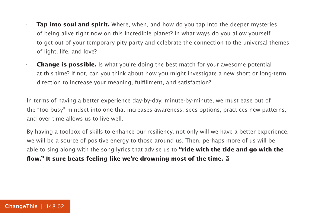- **Tap into soul and spirit.** Where, when, and how do you tap into the deeper mysteries of being alive right now on this incredible planet? In what ways do you allow yourself to get out of your temporary pity party and celebrate the connection to the universal themes of light, life, and love?
- **· Change is possible.** Is what you're doing the best match for your awesome potential at this time? If not, can you think about how you might investigate a new short or long-term direction to increase your meaning, fulfillment, and satisfaction?

In terms of having a better experience day-by-day, minute-by-minute, we must ease out of the "too busy" mindset into one that increases awareness, sees options, practices new patterns, and over time allows us to live well.

By having a toolbox of skills to enhance our resiliency, not only will we have a better experience, we will be a source of positive energy to those around us. Then, perhaps more of us will be able to sing along with the song lyrics that advise us to **"ride with the tide and go with the flow." It sure beats feeling like we're drowning most of the time.**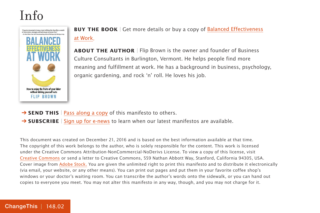

**BUY THE BOOK** | Get more details or buy a copy of [Balanced Effectiveness](https://800ceoread.com/products/balanced-effectiveness-at-work-flip-brown-english) [at Work](https://800ceoread.com/products/balanced-effectiveness-at-work-flip-brown-english).

**ABOUT THE AUTHOR** | Flip Brown is the owner and founder of Business Culture Consultants in Burlington, Vermont. He helps people find more meaning and fulfillment at work. He has a background in business, psychology, organic gardening, and rock 'n' roll. He loves his job.

- **→ SEND THIS** | [Pass along a copy](http://www.changethis.com/148.02.TooBusy/email) of this manifesto to others.
- → **SUBSCRIBE** | [Sign up for e-news](http://changethis.com/page/show/e_mail_newsletter) to learn when our latest manifestos are available.

This document was created on December 21, 2016 and is based on the best information available at that time. The copyright of this work belongs to the author, who is solely responsible for the content. This work is licensed under the Creative Commons Attribution-NonCommercial-NoDerivs License. To view a copy of this license, visit [Creative Commons](http://creativecommons.org/licenses/by-nc-nd/2.0/) or send a letter to Creative Commons, 559 Nathan Abbott Way, Stanford, California 94305, USA. Cover image from [Adobe Stock.](https://stock.adobe.com) You are given the unlimited right to print this manifesto and to distribute it electronically (via email, your website, or any other means). You can print out pages and put them in your favorite coffee shop's windows or your doctor's waiting room. You can transcribe the author's words onto the sidewalk, or you can hand out copies to everyone you meet. You may not alter this manifesto in any way, though, and you may not charge for it.